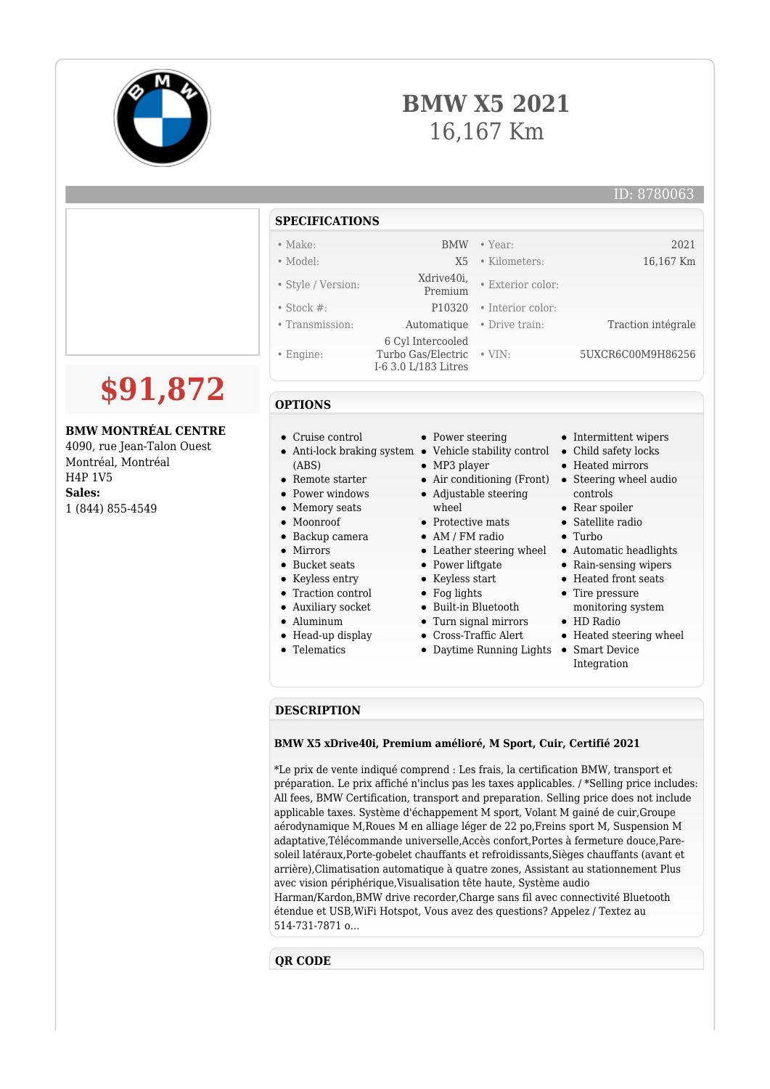

## **BMW X5 2021** 16,167 Km

|                                                                                                                         | <b>SPECIFICATIONS</b>                                                                                                               |                                                                                                                                                             |                                                     |                                                                                                                                                                   |
|-------------------------------------------------------------------------------------------------------------------------|-------------------------------------------------------------------------------------------------------------------------------------|-------------------------------------------------------------------------------------------------------------------------------------------------------------|-----------------------------------------------------|-------------------------------------------------------------------------------------------------------------------------------------------------------------------|
|                                                                                                                         | $\bullet$ Make:                                                                                                                     | <b>BMW</b>                                                                                                                                                  | $\bullet$ Year:                                     | 2021                                                                                                                                                              |
|                                                                                                                         | $\bullet$ Model:                                                                                                                    | X <sub>5</sub>                                                                                                                                              | • Kilometers:                                       | 16,167 Km                                                                                                                                                         |
|                                                                                                                         | • Style / Version:                                                                                                                  | Xdrive40i,<br>Premium                                                                                                                                       | • Exterior color:                                   |                                                                                                                                                                   |
|                                                                                                                         | • Stock $#$ :                                                                                                                       | P10320                                                                                                                                                      | • Interior color:                                   |                                                                                                                                                                   |
|                                                                                                                         | • Transmission:                                                                                                                     | Automatique                                                                                                                                                 | • Drive train:                                      | Traction intégrale                                                                                                                                                |
| \$91,872                                                                                                                | $\bullet$ Engine:                                                                                                                   | 6 Cyl Intercooled<br>Turbo Gas/Electric • VIN:<br>I-6 3.0 L/183 Litres                                                                                      |                                                     | 5UXCR6C00M9H86256                                                                                                                                                 |
|                                                                                                                         | <b>OPTIONS</b>                                                                                                                      |                                                                                                                                                             |                                                     |                                                                                                                                                                   |
| <b>BMW MONTRÉAL CENTRE</b><br>4090, rue Jean-Talon Ouest<br>Montréal, Montréal<br>H4P 1V5<br>Sales:<br>1 (844) 855-4549 | • Cruise control<br>(ABS)<br>$\bullet$ Remote starter<br>• Power windows<br>• Memory seats<br>• Moonroof<br>$\bullet$ Backup camera | • Power steering<br>• Anti-lock braking system • Vehicle stability control<br>$\bullet$ MP3 player<br>wheel<br>• Protective mats<br>$\bullet$ AM / FM radio | • Air conditioning (Front)<br>• Adjustable steering | • Intermittent wipers<br>• Child safety locks<br>• Heated mirrors<br>• Steering wheel audio<br>controls<br>• Rear spoiler<br>• Satellite radio<br>$\bullet$ Turbo |

- Mirrors
- 
- Bucket seats
- Keyless entry
- Traction control
- Auxiliary socket
- Aluminum
- Head-up display
- Telematics
- 
- Power liftgate
- Keyless start
- Fog lights
- Built-in Bluetooth
- Turn signal mirrors
- Cross-Traffic Alert
- 
- Daytime Running Lights Smart Device
- Turbo
- Leather steering wheel Automatic headlights
	- Rain-sensing wipers
	- Heated front seats
	- Tire pressure
	- monitoring system HD Radio
	- Heated steering wheel
	- Integration

## **DESCRIPTION**

## **BMW X5 xDrive40i, Premium amélioré, M Sport, Cuir, Certifié 2021**

\*Le prix de vente indiqué comprend : Les frais, la certification BMW, transport et préparation. Le prix affiché n'inclus pas les taxes applicables. / \*Selling price includes: All fees, BMW Certification, transport and preparation. Selling price does not include applicable taxes. Système d'échappement M sport, Volant M gainé de cuir,Groupe aérodynamique M,Roues M en alliage léger de 22 po,Freins sport M, Suspension M adaptative,Télécommande universelle,Accès confort,Portes à fermeture douce,Paresoleil latéraux,Porte-gobelet chauffants et refroidissants,Sièges chauffants (avant et arrière),Climatisation automatique à quatre zones, Assistant au stationnement Plus avec vision périphérique,Visualisation tête haute, Système audio Harman/Kardon,BMW drive recorder,Charge sans fil avec connectivité Bluetooth étendue et USB,WiFi Hotspot, Vous avez des questions? Appelez / Textez au 514-731-7871 o...

## **QR CODE**